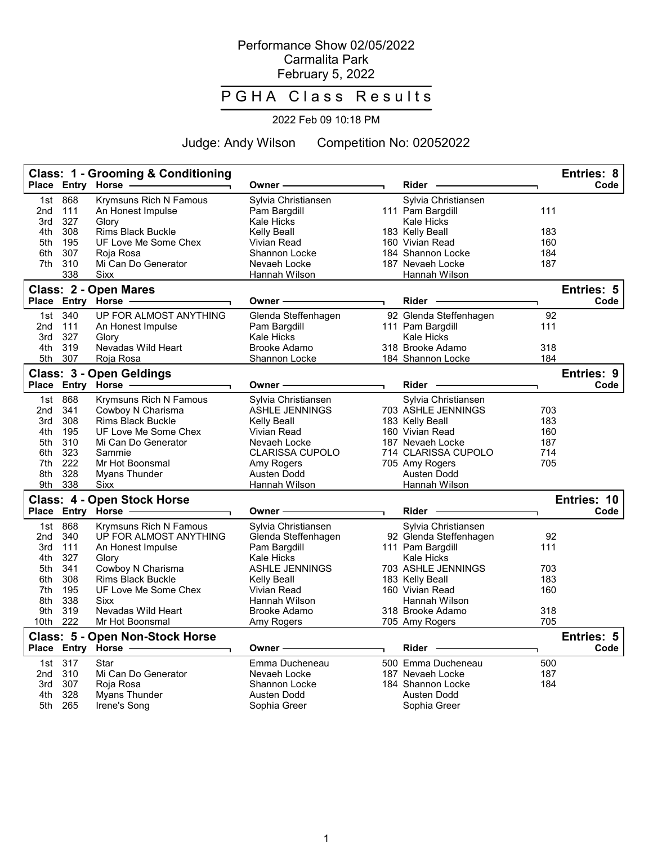## Performance Show 02/05/2022 Carmalita Park February 5, 2022

## P G H A Class Results

## 2022 Feb 09 10:18 PM

Judge: Andy Wilson Competition No: 02052022

|                   |                   | <b>Class: 1 - Grooming &amp; Conditioning</b><br>Place Entry Horse | Owner -                                           | <b>Rider</b>                                             |            | <b>Entries: 8</b><br>Code |
|-------------------|-------------------|--------------------------------------------------------------------|---------------------------------------------------|----------------------------------------------------------|------------|---------------------------|
| 1st<br>2nd<br>3rd | 868<br>111<br>327 | <b>Krymsuns Rich N Famous</b><br>An Honest Impulse<br>Glory        | Sylvia Christiansen<br>Pam Bargdill<br>Kale Hicks | Sylvia Christiansen<br>111 Pam Bargdill<br>Kale Hicks    | 111        |                           |
| 4th               | 308               | <b>Rims Black Buckle</b>                                           | Kelly Beall                                       | 183 Kelly Beall                                          | 183        |                           |
| 5th               | 195               | UF Love Me Some Chex                                               | Vivian Read                                       | 160 Vivian Read                                          | 160        |                           |
| 6th               | 307               | Roja Rosa                                                          | Shannon Locke                                     | 184 Shannon Locke                                        | 184        |                           |
| 7th               | 310               | Mi Can Do Generator                                                | Nevaeh Locke                                      | 187 Nevaeh Locke                                         | 187        |                           |
|                   | 338               | <b>Sixx</b>                                                        | Hannah Wilson                                     | Hannah Wilson                                            |            |                           |
|                   |                   | Class: 2 - Open Mares                                              |                                                   |                                                          |            | <b>Entries: 5</b>         |
| <b>Place</b>      |                   | <b>Entry Horse</b>                                                 | Owner                                             | <b>Rider</b>                                             |            | Code                      |
| 1st<br>2nd<br>3rd | 340<br>111<br>327 | UP FOR ALMOST ANYTHING<br>An Honest Impulse<br>Glory               | Glenda Steffenhagen<br>Pam Bargdill<br>Kale Hicks | 92 Glenda Steffenhagen<br>111 Pam Bargdill<br>Kale Hicks | 92<br>111  |                           |
| 4th               | 319               | Nevadas Wild Heart                                                 | <b>Brooke Adamo</b>                               | 318 Brooke Adamo                                         | 318        |                           |
| 5th               | 307               | Roja Rosa                                                          | Shannon Locke                                     | 184 Shannon Locke                                        | 184        |                           |
|                   | Place Entry Horse | Class: 3 - Open Geldings                                           | Owner                                             | <b>Rider</b>                                             |            | <b>Entries: 9</b><br>Code |
|                   |                   |                                                                    |                                                   |                                                          |            |                           |
| 1st               | 868               | <b>Krymsuns Rich N Famous</b>                                      | Sylvia Christiansen                               | Sylvia Christiansen                                      |            |                           |
| 2nd               | 341               | Cowboy N Charisma                                                  | ASHLE JENNINGS                                    | 703 ASHLE JENNINGS                                       | 703        |                           |
| 3rd               | 308               | <b>Rims Black Buckle</b>                                           | Kelly Beall                                       | 183 Kelly Beall                                          | 183        |                           |
| 4th<br>5th        | 195<br>310        | UF Love Me Some Chex<br>Mi Can Do Generator                        | Vivian Read<br>Nevaeh Locke                       | 160 Vivian Read<br>187 Nevaeh Locke                      | 160<br>187 |                           |
| 6th.              | 323               | Sammie                                                             | <b>CLARISSA CUPOLO</b>                            | 714 CLARISSA CUPOLO                                      | 714        |                           |
| 7th               | 222               | Mr Hot Boonsmal                                                    | Amy Rogers                                        | 705 Amy Rogers                                           | 705        |                           |
| 8th               | 328               | Myans Thunder                                                      | Austen Dodd                                       | <b>Austen Dodd</b>                                       |            |                           |
| 9th               | 338               | <b>Sixx</b>                                                        | Hannah Wilson                                     | Hannah Wilson                                            |            |                           |
|                   |                   | <b>Class: 4 - Open Stock Horse</b>                                 |                                                   |                                                          |            | Entries: 10               |
|                   |                   | Place Entry Horse -                                                | Owner -                                           | Rider -                                                  |            | Code                      |
| 1st               | 868               | Krymsuns Rich N Famous                                             | Sylvia Christiansen                               | Sylvia Christiansen                                      |            |                           |
| 2nd               | 340               | UP FOR ALMOST ANYTHING                                             | Glenda Steffenhagen                               | 92 Glenda Steffenhagen                                   | 92         |                           |
| 3rd               | 111               | An Honest Impulse                                                  | Pam Bargdill                                      | 111 Pam Bargdill                                         | 111        |                           |
| 4th               | 327               | Glory                                                              | Kale Hicks                                        | <b>Kale Hicks</b>                                        |            |                           |
| 5th               | 341               | Cowboy N Charisma                                                  | <b>ASHLE JENNINGS</b>                             | 703 ASHLE JENNINGS                                       | 703        |                           |
| 6th               | 308               | <b>Rims Black Buckle</b>                                           | Kelly Beall                                       | 183 Kelly Beall                                          | 183        |                           |
| 7th               | 195               | UF Love Me Some Chex                                               | Vivian Read                                       | 160 Vivian Read                                          | 160        |                           |
| 8th               | 338               | Sixx                                                               | Hannah Wilson                                     | Hannah Wilson                                            |            |                           |
| 9th               | 319<br>222        | Nevadas Wild Heart                                                 | Brooke Adamo                                      | 318 Brooke Adamo                                         | 318        |                           |
| 10th              |                   | Mr Hot Boonsmal                                                    | Amy Rogers                                        | 705 Amy Rogers                                           | 705        |                           |
|                   |                   | Class: 5 - Open Non-Stock Horse<br>Place Entry Horse               | <b>Owner</b>                                      | <b>Rider</b>                                             |            | Entries: 5<br>Code        |
| 1st               | 317               | Star                                                               | Emma Ducheneau                                    | 500 Emma Ducheneau                                       | 500        |                           |
| 2nd               | 310               | Mi Can Do Generator                                                | Nevaeh Locke                                      | 187 Nevaeh Locke                                         | 187        |                           |
| 3rd               | 307               | Roja Rosa                                                          | Shannon Locke                                     | 184 Shannon Locke                                        | 184        |                           |
| 4th               | 328               | Myans Thunder                                                      | Austen Dodd                                       | Austen Dodd                                              |            |                           |
| 5th               | 265               | Irene's Song                                                       | Sophia Greer                                      | Sophia Greer                                             |            |                           |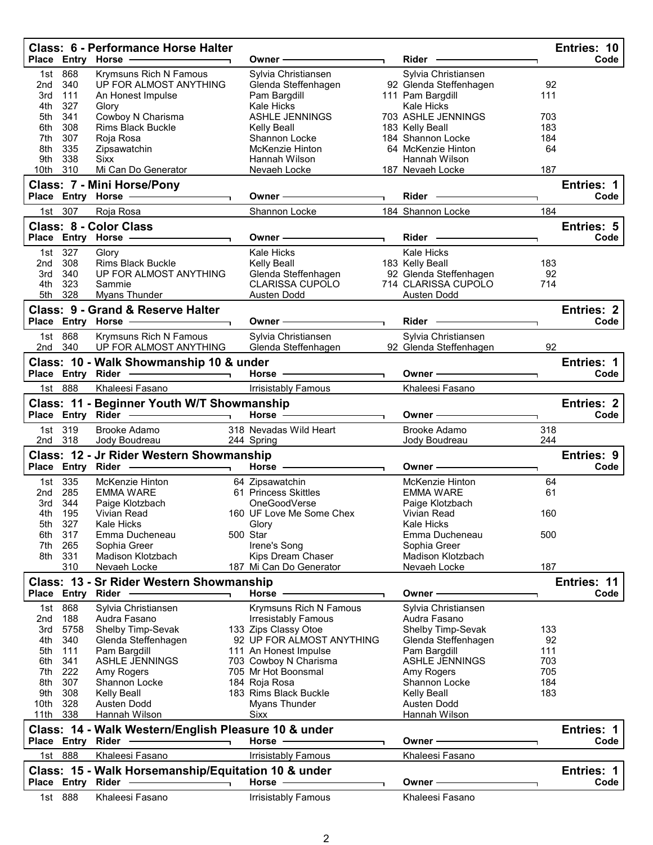| Place Entry Horse -<br>Owner –<br>868<br>Krymsuns Rich N Famous<br>Sylvia Christiansen<br>Sylvia Christiansen<br>1st<br>340<br>UP FOR ALMOST ANYTHING<br>92 Glenda Steffenhagen<br>92<br>2nd<br>Glenda Steffenhagen<br>111<br>111<br>3rd<br>An Honest Impulse<br>Pam Bargdill<br>111 Pam Bargdill<br>4th<br>327<br><b>Kale Hicks</b><br><b>Kale Hicks</b><br>Glory<br>341<br>Cowboy N Charisma<br><b>ASHLE JENNINGS</b><br>703 ASHLE JENNINGS<br>703<br>5th<br><b>Rims Black Buckle</b><br>308<br>183 Kelly Beall<br>183<br>6th<br>Kelly Beall<br>307<br>184 Shannon Locke<br>184<br>7th<br>Roja Rosa<br>Shannon Locke<br>335<br>Zipsawatchin<br>McKenzie Hinton<br>64 McKenzie Hinton<br>64<br>8th<br>9th<br>338<br><b>Sixx</b><br>Hannah Wilson<br>Hannah Wilson<br>310<br>Mi Can Do Generator<br>187<br>10th<br>Nevaeh Locke<br>187 Nevaeh Locke<br>Entries: 1<br>Class: 7 - Mini Horse/Pony<br>Place Entry Horse<br>Code<br>Rider<br>Owner -<br>307<br>Roja Rosa<br>Shannon Locke<br>184 Shannon Locke<br>184<br>1st<br><b>Class: 8 - Color Class</b><br><b>Entries: 5</b><br>Code<br>Place Entry Horse -<br>Owner -<br>Rider<br>327<br>Kale Hicks<br>Kale Hicks<br>1st<br>Glory<br>308<br><b>Rims Black Buckle</b><br>183 Kelly Beall<br>183<br>2nd<br><b>Kelly Beall</b><br>92 Glenda Steffenhagen<br>92<br>340<br>UP FOR ALMOST ANYTHING<br>Glenda Steffenhagen<br>3rd<br><b>CLARISSA CUPOLO</b><br>714 CLARISSA CUPOLO<br>4th<br>323<br>714<br>Sammie<br>328<br>5th<br>Myans Thunder<br>Austen Dodd<br>Austen Dodd<br><b>Class: 9 - Grand &amp; Reserve Halter</b><br><b>Entries: 2</b><br>Place Entry Horse<br><b>Rider</b><br>Code<br>Owner -<br>1st 868<br><b>Krymsuns Rich N Famous</b><br>Sylvia Christiansen<br>Sylvia Christiansen<br>UP FOR ALMOST ANYTHING<br>92 Glenda Steffenhagen<br>340<br>Glenda Steffenhagen<br>92<br>2nd<br>Class: 10 - Walk Showmanship 10 & under<br>Entries: 1<br>Place Entry Rider<br>Horse -<br>Owner -<br>Code<br>1st 888<br>Khaleesi Fasano<br>Khaleesi Fasano<br><b>Irrisistably Famous</b><br>Class: 11 - Beginner Youth W/T Showmanship<br><b>Entries: 2</b><br>Place Entry Rider<br>Horse $-$<br>Code<br>Owner -<br>319<br>318 Nevadas Wild Heart<br><b>Brooke Adamo</b><br>Brooke Adamo<br>318<br>1st l<br>244<br>2nd<br>318<br>Jody Boudreau<br>244 Spring<br>Jody Boudreau<br>Class: 12 - Jr Rider Western Showmanship<br>Entries: 9<br>Place Entry Rider<br>Horse $-$<br>Owner -<br>Code<br>335<br>McKenzie Hinton<br>64 Zipsawatchin<br>64<br>1st<br>McKenzie Hinton<br>285<br><b>EMMA WARE</b><br>61 Princess Skittles<br><b>EMMA WARE</b><br>61<br>2nd<br>344<br>Paige Klotzbach<br>OneGoodVerse<br>3rd<br>Paige Klotzbach<br>195<br>160<br>Vivian Read<br>160 UF Love Me Some Chex<br>Vivian Read<br>4th<br>327<br>5th<br><b>Kale Hicks</b><br>Glory<br>Kale Hicks<br>500 Star<br>500<br>6th<br>317<br>Emma Ducheneau<br>Emma Ducheneau<br>265<br>7th<br>Sophia Greer<br>Irene's Song<br>Sophia Greer<br>8th<br>331<br>Kips Dream Chaser<br>Madison Klotzbach<br>Madison Klotzbach<br>187<br>310<br>Nevaeh Locke<br>187 Mi Can Do Generator<br>Nevaeh Locke<br>Class: 13 - Sr Rider Western Showmanship<br>Entries: 11<br>Place Entry Rider<br>Code<br>Horse<br>Owner -<br>868<br>Krymsuns Rich N Famous<br>Sylvia Christiansen<br>Sylvia Christiansen<br>1st<br>188<br>2nd<br>Audra Fasano<br><b>Irresistably Famous</b><br>Audra Fasano<br>5758<br>133 Zips Classy Otoe<br>3rd<br>Shelby Timp-Sevak<br>Shelby Timp-Sevak<br>133<br>92 UP FOR ALMOST ANYTHING<br>4th<br>340<br>Glenda Steffenhagen<br>Glenda Steffenhagen<br>92<br>111<br>111<br>5th<br>Pam Bargdill<br>111 An Honest Impulse<br>Pam Bargdill<br>ASHLE JENNINGS<br>703<br>6th<br>341<br><b>ASHLE JENNINGS</b><br>703 Cowboy N Charisma<br>222<br>705<br>7th<br>Amy Rogers<br>705 Mr Hot Boonsmal<br>Amy Rogers<br>8th<br>307<br>184 Roja Rosa<br>184<br>Shannon Locke<br>Shannon Locke<br>9th<br>308<br><b>Kelly Beall</b><br>183 Rims Black Buckle<br><b>Kelly Beall</b><br>183<br>328<br>10th<br>Austen Dodd<br>Myans Thunder<br>Austen Dodd<br>338<br>Hannah Wilson<br>11th<br>Hannah Wilson<br><b>Sixx</b><br>Class: 14 - Walk Western/English Pleasure 10 & under<br>Entries: 1<br>Place Entry Rider<br>Horse -<br>Code<br>Owner -<br>1st 888<br>Khaleesi Fasano<br>Khaleesi Fasano<br>Irrisistably Famous<br>Class: 15 - Walk Horsemanship/Equitation 10 & under<br>Entries: 1<br>Code<br>Place Entry Rider<br>Horse -<br>Owner -<br>1st 888<br>Khaleesi Fasano<br>Khaleesi Fasano<br>Irrisistably Famous |  | <b>Class: 6 - Performance Horse Halter</b> |  | Rider - | Entries: 10<br>Code |
|---------------------------------------------------------------------------------------------------------------------------------------------------------------------------------------------------------------------------------------------------------------------------------------------------------------------------------------------------------------------------------------------------------------------------------------------------------------------------------------------------------------------------------------------------------------------------------------------------------------------------------------------------------------------------------------------------------------------------------------------------------------------------------------------------------------------------------------------------------------------------------------------------------------------------------------------------------------------------------------------------------------------------------------------------------------------------------------------------------------------------------------------------------------------------------------------------------------------------------------------------------------------------------------------------------------------------------------------------------------------------------------------------------------------------------------------------------------------------------------------------------------------------------------------------------------------------------------------------------------------------------------------------------------------------------------------------------------------------------------------------------------------------------------------------------------------------------------------------------------------------------------------------------------------------------------------------------------------------------------------------------------------------------------------------------------------------------------------------------------------------------------------------------------------------------------------------------------------------------------------------------------------------------------------------------------------------------------------------------------------------------------------------------------------------------------------------------------------------------------------------------------------------------------------------------------------------------------------------------------------------------------------------------------------------------------------------------------------------------------------------------------------------------------------------------------------------------------------------------------------------------------------------------------------------------------------------------------------------------------------------------------------------------------------------------------------------------------------------------------------------------------------------------------------------------------------------------------------------------------------------------------------------------------------------------------------------------------------------------------------------------------------------------------------------------------------------------------------------------------------------------------------------------------------------------------------------------------------------------------------------------------------------------------------------------------------------------------------------------------------------------------------------------------------------------------------------------------------------------------------------------------------------------------------------------------------------------------------------------------------------------------------------------------------------------------------------------------------------------------------------------------------------------------------------------------------------------------------------------------------------------------------------------------------------------------------------------------------------------------------------------------------------------------------------------------------------------------------------------------------------------------------------------------------|--|--------------------------------------------|--|---------|---------------------|
|                                                                                                                                                                                                                                                                                                                                                                                                                                                                                                                                                                                                                                                                                                                                                                                                                                                                                                                                                                                                                                                                                                                                                                                                                                                                                                                                                                                                                                                                                                                                                                                                                                                                                                                                                                                                                                                                                                                                                                                                                                                                                                                                                                                                                                                                                                                                                                                                                                                                                                                                                                                                                                                                                                                                                                                                                                                                                                                                                                                                                                                                                                                                                                                                                                                                                                                                                                                                                                                                                                                                                                                                                                                                                                                                                                                                                                                                                                                                                                                                                                                                                                                                                                                                                                                                                                                                                                                                                                                                                                                                             |  |                                            |  |         |                     |
|                                                                                                                                                                                                                                                                                                                                                                                                                                                                                                                                                                                                                                                                                                                                                                                                                                                                                                                                                                                                                                                                                                                                                                                                                                                                                                                                                                                                                                                                                                                                                                                                                                                                                                                                                                                                                                                                                                                                                                                                                                                                                                                                                                                                                                                                                                                                                                                                                                                                                                                                                                                                                                                                                                                                                                                                                                                                                                                                                                                                                                                                                                                                                                                                                                                                                                                                                                                                                                                                                                                                                                                                                                                                                                                                                                                                                                                                                                                                                                                                                                                                                                                                                                                                                                                                                                                                                                                                                                                                                                                                             |  |                                            |  |         |                     |
|                                                                                                                                                                                                                                                                                                                                                                                                                                                                                                                                                                                                                                                                                                                                                                                                                                                                                                                                                                                                                                                                                                                                                                                                                                                                                                                                                                                                                                                                                                                                                                                                                                                                                                                                                                                                                                                                                                                                                                                                                                                                                                                                                                                                                                                                                                                                                                                                                                                                                                                                                                                                                                                                                                                                                                                                                                                                                                                                                                                                                                                                                                                                                                                                                                                                                                                                                                                                                                                                                                                                                                                                                                                                                                                                                                                                                                                                                                                                                                                                                                                                                                                                                                                                                                                                                                                                                                                                                                                                                                                                             |  |                                            |  |         |                     |
|                                                                                                                                                                                                                                                                                                                                                                                                                                                                                                                                                                                                                                                                                                                                                                                                                                                                                                                                                                                                                                                                                                                                                                                                                                                                                                                                                                                                                                                                                                                                                                                                                                                                                                                                                                                                                                                                                                                                                                                                                                                                                                                                                                                                                                                                                                                                                                                                                                                                                                                                                                                                                                                                                                                                                                                                                                                                                                                                                                                                                                                                                                                                                                                                                                                                                                                                                                                                                                                                                                                                                                                                                                                                                                                                                                                                                                                                                                                                                                                                                                                                                                                                                                                                                                                                                                                                                                                                                                                                                                                                             |  |                                            |  |         |                     |
|                                                                                                                                                                                                                                                                                                                                                                                                                                                                                                                                                                                                                                                                                                                                                                                                                                                                                                                                                                                                                                                                                                                                                                                                                                                                                                                                                                                                                                                                                                                                                                                                                                                                                                                                                                                                                                                                                                                                                                                                                                                                                                                                                                                                                                                                                                                                                                                                                                                                                                                                                                                                                                                                                                                                                                                                                                                                                                                                                                                                                                                                                                                                                                                                                                                                                                                                                                                                                                                                                                                                                                                                                                                                                                                                                                                                                                                                                                                                                                                                                                                                                                                                                                                                                                                                                                                                                                                                                                                                                                                                             |  |                                            |  |         |                     |
|                                                                                                                                                                                                                                                                                                                                                                                                                                                                                                                                                                                                                                                                                                                                                                                                                                                                                                                                                                                                                                                                                                                                                                                                                                                                                                                                                                                                                                                                                                                                                                                                                                                                                                                                                                                                                                                                                                                                                                                                                                                                                                                                                                                                                                                                                                                                                                                                                                                                                                                                                                                                                                                                                                                                                                                                                                                                                                                                                                                                                                                                                                                                                                                                                                                                                                                                                                                                                                                                                                                                                                                                                                                                                                                                                                                                                                                                                                                                                                                                                                                                                                                                                                                                                                                                                                                                                                                                                                                                                                                                             |  |                                            |  |         |                     |
|                                                                                                                                                                                                                                                                                                                                                                                                                                                                                                                                                                                                                                                                                                                                                                                                                                                                                                                                                                                                                                                                                                                                                                                                                                                                                                                                                                                                                                                                                                                                                                                                                                                                                                                                                                                                                                                                                                                                                                                                                                                                                                                                                                                                                                                                                                                                                                                                                                                                                                                                                                                                                                                                                                                                                                                                                                                                                                                                                                                                                                                                                                                                                                                                                                                                                                                                                                                                                                                                                                                                                                                                                                                                                                                                                                                                                                                                                                                                                                                                                                                                                                                                                                                                                                                                                                                                                                                                                                                                                                                                             |  |                                            |  |         |                     |
|                                                                                                                                                                                                                                                                                                                                                                                                                                                                                                                                                                                                                                                                                                                                                                                                                                                                                                                                                                                                                                                                                                                                                                                                                                                                                                                                                                                                                                                                                                                                                                                                                                                                                                                                                                                                                                                                                                                                                                                                                                                                                                                                                                                                                                                                                                                                                                                                                                                                                                                                                                                                                                                                                                                                                                                                                                                                                                                                                                                                                                                                                                                                                                                                                                                                                                                                                                                                                                                                                                                                                                                                                                                                                                                                                                                                                                                                                                                                                                                                                                                                                                                                                                                                                                                                                                                                                                                                                                                                                                                                             |  |                                            |  |         |                     |
|                                                                                                                                                                                                                                                                                                                                                                                                                                                                                                                                                                                                                                                                                                                                                                                                                                                                                                                                                                                                                                                                                                                                                                                                                                                                                                                                                                                                                                                                                                                                                                                                                                                                                                                                                                                                                                                                                                                                                                                                                                                                                                                                                                                                                                                                                                                                                                                                                                                                                                                                                                                                                                                                                                                                                                                                                                                                                                                                                                                                                                                                                                                                                                                                                                                                                                                                                                                                                                                                                                                                                                                                                                                                                                                                                                                                                                                                                                                                                                                                                                                                                                                                                                                                                                                                                                                                                                                                                                                                                                                                             |  |                                            |  |         |                     |
|                                                                                                                                                                                                                                                                                                                                                                                                                                                                                                                                                                                                                                                                                                                                                                                                                                                                                                                                                                                                                                                                                                                                                                                                                                                                                                                                                                                                                                                                                                                                                                                                                                                                                                                                                                                                                                                                                                                                                                                                                                                                                                                                                                                                                                                                                                                                                                                                                                                                                                                                                                                                                                                                                                                                                                                                                                                                                                                                                                                                                                                                                                                                                                                                                                                                                                                                                                                                                                                                                                                                                                                                                                                                                                                                                                                                                                                                                                                                                                                                                                                                                                                                                                                                                                                                                                                                                                                                                                                                                                                                             |  |                                            |  |         |                     |
|                                                                                                                                                                                                                                                                                                                                                                                                                                                                                                                                                                                                                                                                                                                                                                                                                                                                                                                                                                                                                                                                                                                                                                                                                                                                                                                                                                                                                                                                                                                                                                                                                                                                                                                                                                                                                                                                                                                                                                                                                                                                                                                                                                                                                                                                                                                                                                                                                                                                                                                                                                                                                                                                                                                                                                                                                                                                                                                                                                                                                                                                                                                                                                                                                                                                                                                                                                                                                                                                                                                                                                                                                                                                                                                                                                                                                                                                                                                                                                                                                                                                                                                                                                                                                                                                                                                                                                                                                                                                                                                                             |  |                                            |  |         |                     |
|                                                                                                                                                                                                                                                                                                                                                                                                                                                                                                                                                                                                                                                                                                                                                                                                                                                                                                                                                                                                                                                                                                                                                                                                                                                                                                                                                                                                                                                                                                                                                                                                                                                                                                                                                                                                                                                                                                                                                                                                                                                                                                                                                                                                                                                                                                                                                                                                                                                                                                                                                                                                                                                                                                                                                                                                                                                                                                                                                                                                                                                                                                                                                                                                                                                                                                                                                                                                                                                                                                                                                                                                                                                                                                                                                                                                                                                                                                                                                                                                                                                                                                                                                                                                                                                                                                                                                                                                                                                                                                                                             |  |                                            |  |         |                     |
|                                                                                                                                                                                                                                                                                                                                                                                                                                                                                                                                                                                                                                                                                                                                                                                                                                                                                                                                                                                                                                                                                                                                                                                                                                                                                                                                                                                                                                                                                                                                                                                                                                                                                                                                                                                                                                                                                                                                                                                                                                                                                                                                                                                                                                                                                                                                                                                                                                                                                                                                                                                                                                                                                                                                                                                                                                                                                                                                                                                                                                                                                                                                                                                                                                                                                                                                                                                                                                                                                                                                                                                                                                                                                                                                                                                                                                                                                                                                                                                                                                                                                                                                                                                                                                                                                                                                                                                                                                                                                                                                             |  |                                            |  |         |                     |
|                                                                                                                                                                                                                                                                                                                                                                                                                                                                                                                                                                                                                                                                                                                                                                                                                                                                                                                                                                                                                                                                                                                                                                                                                                                                                                                                                                                                                                                                                                                                                                                                                                                                                                                                                                                                                                                                                                                                                                                                                                                                                                                                                                                                                                                                                                                                                                                                                                                                                                                                                                                                                                                                                                                                                                                                                                                                                                                                                                                                                                                                                                                                                                                                                                                                                                                                                                                                                                                                                                                                                                                                                                                                                                                                                                                                                                                                                                                                                                                                                                                                                                                                                                                                                                                                                                                                                                                                                                                                                                                                             |  |                                            |  |         |                     |
|                                                                                                                                                                                                                                                                                                                                                                                                                                                                                                                                                                                                                                                                                                                                                                                                                                                                                                                                                                                                                                                                                                                                                                                                                                                                                                                                                                                                                                                                                                                                                                                                                                                                                                                                                                                                                                                                                                                                                                                                                                                                                                                                                                                                                                                                                                                                                                                                                                                                                                                                                                                                                                                                                                                                                                                                                                                                                                                                                                                                                                                                                                                                                                                                                                                                                                                                                                                                                                                                                                                                                                                                                                                                                                                                                                                                                                                                                                                                                                                                                                                                                                                                                                                                                                                                                                                                                                                                                                                                                                                                             |  |                                            |  |         |                     |
|                                                                                                                                                                                                                                                                                                                                                                                                                                                                                                                                                                                                                                                                                                                                                                                                                                                                                                                                                                                                                                                                                                                                                                                                                                                                                                                                                                                                                                                                                                                                                                                                                                                                                                                                                                                                                                                                                                                                                                                                                                                                                                                                                                                                                                                                                                                                                                                                                                                                                                                                                                                                                                                                                                                                                                                                                                                                                                                                                                                                                                                                                                                                                                                                                                                                                                                                                                                                                                                                                                                                                                                                                                                                                                                                                                                                                                                                                                                                                                                                                                                                                                                                                                                                                                                                                                                                                                                                                                                                                                                                             |  |                                            |  |         |                     |
|                                                                                                                                                                                                                                                                                                                                                                                                                                                                                                                                                                                                                                                                                                                                                                                                                                                                                                                                                                                                                                                                                                                                                                                                                                                                                                                                                                                                                                                                                                                                                                                                                                                                                                                                                                                                                                                                                                                                                                                                                                                                                                                                                                                                                                                                                                                                                                                                                                                                                                                                                                                                                                                                                                                                                                                                                                                                                                                                                                                                                                                                                                                                                                                                                                                                                                                                                                                                                                                                                                                                                                                                                                                                                                                                                                                                                                                                                                                                                                                                                                                                                                                                                                                                                                                                                                                                                                                                                                                                                                                                             |  |                                            |  |         |                     |
|                                                                                                                                                                                                                                                                                                                                                                                                                                                                                                                                                                                                                                                                                                                                                                                                                                                                                                                                                                                                                                                                                                                                                                                                                                                                                                                                                                                                                                                                                                                                                                                                                                                                                                                                                                                                                                                                                                                                                                                                                                                                                                                                                                                                                                                                                                                                                                                                                                                                                                                                                                                                                                                                                                                                                                                                                                                                                                                                                                                                                                                                                                                                                                                                                                                                                                                                                                                                                                                                                                                                                                                                                                                                                                                                                                                                                                                                                                                                                                                                                                                                                                                                                                                                                                                                                                                                                                                                                                                                                                                                             |  |                                            |  |         |                     |
|                                                                                                                                                                                                                                                                                                                                                                                                                                                                                                                                                                                                                                                                                                                                                                                                                                                                                                                                                                                                                                                                                                                                                                                                                                                                                                                                                                                                                                                                                                                                                                                                                                                                                                                                                                                                                                                                                                                                                                                                                                                                                                                                                                                                                                                                                                                                                                                                                                                                                                                                                                                                                                                                                                                                                                                                                                                                                                                                                                                                                                                                                                                                                                                                                                                                                                                                                                                                                                                                                                                                                                                                                                                                                                                                                                                                                                                                                                                                                                                                                                                                                                                                                                                                                                                                                                                                                                                                                                                                                                                                             |  |                                            |  |         |                     |
|                                                                                                                                                                                                                                                                                                                                                                                                                                                                                                                                                                                                                                                                                                                                                                                                                                                                                                                                                                                                                                                                                                                                                                                                                                                                                                                                                                                                                                                                                                                                                                                                                                                                                                                                                                                                                                                                                                                                                                                                                                                                                                                                                                                                                                                                                                                                                                                                                                                                                                                                                                                                                                                                                                                                                                                                                                                                                                                                                                                                                                                                                                                                                                                                                                                                                                                                                                                                                                                                                                                                                                                                                                                                                                                                                                                                                                                                                                                                                                                                                                                                                                                                                                                                                                                                                                                                                                                                                                                                                                                                             |  |                                            |  |         |                     |
|                                                                                                                                                                                                                                                                                                                                                                                                                                                                                                                                                                                                                                                                                                                                                                                                                                                                                                                                                                                                                                                                                                                                                                                                                                                                                                                                                                                                                                                                                                                                                                                                                                                                                                                                                                                                                                                                                                                                                                                                                                                                                                                                                                                                                                                                                                                                                                                                                                                                                                                                                                                                                                                                                                                                                                                                                                                                                                                                                                                                                                                                                                                                                                                                                                                                                                                                                                                                                                                                                                                                                                                                                                                                                                                                                                                                                                                                                                                                                                                                                                                                                                                                                                                                                                                                                                                                                                                                                                                                                                                                             |  |                                            |  |         |                     |
|                                                                                                                                                                                                                                                                                                                                                                                                                                                                                                                                                                                                                                                                                                                                                                                                                                                                                                                                                                                                                                                                                                                                                                                                                                                                                                                                                                                                                                                                                                                                                                                                                                                                                                                                                                                                                                                                                                                                                                                                                                                                                                                                                                                                                                                                                                                                                                                                                                                                                                                                                                                                                                                                                                                                                                                                                                                                                                                                                                                                                                                                                                                                                                                                                                                                                                                                                                                                                                                                                                                                                                                                                                                                                                                                                                                                                                                                                                                                                                                                                                                                                                                                                                                                                                                                                                                                                                                                                                                                                                                                             |  |                                            |  |         |                     |
|                                                                                                                                                                                                                                                                                                                                                                                                                                                                                                                                                                                                                                                                                                                                                                                                                                                                                                                                                                                                                                                                                                                                                                                                                                                                                                                                                                                                                                                                                                                                                                                                                                                                                                                                                                                                                                                                                                                                                                                                                                                                                                                                                                                                                                                                                                                                                                                                                                                                                                                                                                                                                                                                                                                                                                                                                                                                                                                                                                                                                                                                                                                                                                                                                                                                                                                                                                                                                                                                                                                                                                                                                                                                                                                                                                                                                                                                                                                                                                                                                                                                                                                                                                                                                                                                                                                                                                                                                                                                                                                                             |  |                                            |  |         |                     |
|                                                                                                                                                                                                                                                                                                                                                                                                                                                                                                                                                                                                                                                                                                                                                                                                                                                                                                                                                                                                                                                                                                                                                                                                                                                                                                                                                                                                                                                                                                                                                                                                                                                                                                                                                                                                                                                                                                                                                                                                                                                                                                                                                                                                                                                                                                                                                                                                                                                                                                                                                                                                                                                                                                                                                                                                                                                                                                                                                                                                                                                                                                                                                                                                                                                                                                                                                                                                                                                                                                                                                                                                                                                                                                                                                                                                                                                                                                                                                                                                                                                                                                                                                                                                                                                                                                                                                                                                                                                                                                                                             |  |                                            |  |         |                     |
|                                                                                                                                                                                                                                                                                                                                                                                                                                                                                                                                                                                                                                                                                                                                                                                                                                                                                                                                                                                                                                                                                                                                                                                                                                                                                                                                                                                                                                                                                                                                                                                                                                                                                                                                                                                                                                                                                                                                                                                                                                                                                                                                                                                                                                                                                                                                                                                                                                                                                                                                                                                                                                                                                                                                                                                                                                                                                                                                                                                                                                                                                                                                                                                                                                                                                                                                                                                                                                                                                                                                                                                                                                                                                                                                                                                                                                                                                                                                                                                                                                                                                                                                                                                                                                                                                                                                                                                                                                                                                                                                             |  |                                            |  |         |                     |
|                                                                                                                                                                                                                                                                                                                                                                                                                                                                                                                                                                                                                                                                                                                                                                                                                                                                                                                                                                                                                                                                                                                                                                                                                                                                                                                                                                                                                                                                                                                                                                                                                                                                                                                                                                                                                                                                                                                                                                                                                                                                                                                                                                                                                                                                                                                                                                                                                                                                                                                                                                                                                                                                                                                                                                                                                                                                                                                                                                                                                                                                                                                                                                                                                                                                                                                                                                                                                                                                                                                                                                                                                                                                                                                                                                                                                                                                                                                                                                                                                                                                                                                                                                                                                                                                                                                                                                                                                                                                                                                                             |  |                                            |  |         |                     |
|                                                                                                                                                                                                                                                                                                                                                                                                                                                                                                                                                                                                                                                                                                                                                                                                                                                                                                                                                                                                                                                                                                                                                                                                                                                                                                                                                                                                                                                                                                                                                                                                                                                                                                                                                                                                                                                                                                                                                                                                                                                                                                                                                                                                                                                                                                                                                                                                                                                                                                                                                                                                                                                                                                                                                                                                                                                                                                                                                                                                                                                                                                                                                                                                                                                                                                                                                                                                                                                                                                                                                                                                                                                                                                                                                                                                                                                                                                                                                                                                                                                                                                                                                                                                                                                                                                                                                                                                                                                                                                                                             |  |                                            |  |         |                     |
|                                                                                                                                                                                                                                                                                                                                                                                                                                                                                                                                                                                                                                                                                                                                                                                                                                                                                                                                                                                                                                                                                                                                                                                                                                                                                                                                                                                                                                                                                                                                                                                                                                                                                                                                                                                                                                                                                                                                                                                                                                                                                                                                                                                                                                                                                                                                                                                                                                                                                                                                                                                                                                                                                                                                                                                                                                                                                                                                                                                                                                                                                                                                                                                                                                                                                                                                                                                                                                                                                                                                                                                                                                                                                                                                                                                                                                                                                                                                                                                                                                                                                                                                                                                                                                                                                                                                                                                                                                                                                                                                             |  |                                            |  |         |                     |
|                                                                                                                                                                                                                                                                                                                                                                                                                                                                                                                                                                                                                                                                                                                                                                                                                                                                                                                                                                                                                                                                                                                                                                                                                                                                                                                                                                                                                                                                                                                                                                                                                                                                                                                                                                                                                                                                                                                                                                                                                                                                                                                                                                                                                                                                                                                                                                                                                                                                                                                                                                                                                                                                                                                                                                                                                                                                                                                                                                                                                                                                                                                                                                                                                                                                                                                                                                                                                                                                                                                                                                                                                                                                                                                                                                                                                                                                                                                                                                                                                                                                                                                                                                                                                                                                                                                                                                                                                                                                                                                                             |  |                                            |  |         |                     |
|                                                                                                                                                                                                                                                                                                                                                                                                                                                                                                                                                                                                                                                                                                                                                                                                                                                                                                                                                                                                                                                                                                                                                                                                                                                                                                                                                                                                                                                                                                                                                                                                                                                                                                                                                                                                                                                                                                                                                                                                                                                                                                                                                                                                                                                                                                                                                                                                                                                                                                                                                                                                                                                                                                                                                                                                                                                                                                                                                                                                                                                                                                                                                                                                                                                                                                                                                                                                                                                                                                                                                                                                                                                                                                                                                                                                                                                                                                                                                                                                                                                                                                                                                                                                                                                                                                                                                                                                                                                                                                                                             |  |                                            |  |         |                     |
|                                                                                                                                                                                                                                                                                                                                                                                                                                                                                                                                                                                                                                                                                                                                                                                                                                                                                                                                                                                                                                                                                                                                                                                                                                                                                                                                                                                                                                                                                                                                                                                                                                                                                                                                                                                                                                                                                                                                                                                                                                                                                                                                                                                                                                                                                                                                                                                                                                                                                                                                                                                                                                                                                                                                                                                                                                                                                                                                                                                                                                                                                                                                                                                                                                                                                                                                                                                                                                                                                                                                                                                                                                                                                                                                                                                                                                                                                                                                                                                                                                                                                                                                                                                                                                                                                                                                                                                                                                                                                                                                             |  |                                            |  |         |                     |
|                                                                                                                                                                                                                                                                                                                                                                                                                                                                                                                                                                                                                                                                                                                                                                                                                                                                                                                                                                                                                                                                                                                                                                                                                                                                                                                                                                                                                                                                                                                                                                                                                                                                                                                                                                                                                                                                                                                                                                                                                                                                                                                                                                                                                                                                                                                                                                                                                                                                                                                                                                                                                                                                                                                                                                                                                                                                                                                                                                                                                                                                                                                                                                                                                                                                                                                                                                                                                                                                                                                                                                                                                                                                                                                                                                                                                                                                                                                                                                                                                                                                                                                                                                                                                                                                                                                                                                                                                                                                                                                                             |  |                                            |  |         |                     |
|                                                                                                                                                                                                                                                                                                                                                                                                                                                                                                                                                                                                                                                                                                                                                                                                                                                                                                                                                                                                                                                                                                                                                                                                                                                                                                                                                                                                                                                                                                                                                                                                                                                                                                                                                                                                                                                                                                                                                                                                                                                                                                                                                                                                                                                                                                                                                                                                                                                                                                                                                                                                                                                                                                                                                                                                                                                                                                                                                                                                                                                                                                                                                                                                                                                                                                                                                                                                                                                                                                                                                                                                                                                                                                                                                                                                                                                                                                                                                                                                                                                                                                                                                                                                                                                                                                                                                                                                                                                                                                                                             |  |                                            |  |         |                     |
|                                                                                                                                                                                                                                                                                                                                                                                                                                                                                                                                                                                                                                                                                                                                                                                                                                                                                                                                                                                                                                                                                                                                                                                                                                                                                                                                                                                                                                                                                                                                                                                                                                                                                                                                                                                                                                                                                                                                                                                                                                                                                                                                                                                                                                                                                                                                                                                                                                                                                                                                                                                                                                                                                                                                                                                                                                                                                                                                                                                                                                                                                                                                                                                                                                                                                                                                                                                                                                                                                                                                                                                                                                                                                                                                                                                                                                                                                                                                                                                                                                                                                                                                                                                                                                                                                                                                                                                                                                                                                                                                             |  |                                            |  |         |                     |
|                                                                                                                                                                                                                                                                                                                                                                                                                                                                                                                                                                                                                                                                                                                                                                                                                                                                                                                                                                                                                                                                                                                                                                                                                                                                                                                                                                                                                                                                                                                                                                                                                                                                                                                                                                                                                                                                                                                                                                                                                                                                                                                                                                                                                                                                                                                                                                                                                                                                                                                                                                                                                                                                                                                                                                                                                                                                                                                                                                                                                                                                                                                                                                                                                                                                                                                                                                                                                                                                                                                                                                                                                                                                                                                                                                                                                                                                                                                                                                                                                                                                                                                                                                                                                                                                                                                                                                                                                                                                                                                                             |  |                                            |  |         |                     |
|                                                                                                                                                                                                                                                                                                                                                                                                                                                                                                                                                                                                                                                                                                                                                                                                                                                                                                                                                                                                                                                                                                                                                                                                                                                                                                                                                                                                                                                                                                                                                                                                                                                                                                                                                                                                                                                                                                                                                                                                                                                                                                                                                                                                                                                                                                                                                                                                                                                                                                                                                                                                                                                                                                                                                                                                                                                                                                                                                                                                                                                                                                                                                                                                                                                                                                                                                                                                                                                                                                                                                                                                                                                                                                                                                                                                                                                                                                                                                                                                                                                                                                                                                                                                                                                                                                                                                                                                                                                                                                                                             |  |                                            |  |         |                     |
|                                                                                                                                                                                                                                                                                                                                                                                                                                                                                                                                                                                                                                                                                                                                                                                                                                                                                                                                                                                                                                                                                                                                                                                                                                                                                                                                                                                                                                                                                                                                                                                                                                                                                                                                                                                                                                                                                                                                                                                                                                                                                                                                                                                                                                                                                                                                                                                                                                                                                                                                                                                                                                                                                                                                                                                                                                                                                                                                                                                                                                                                                                                                                                                                                                                                                                                                                                                                                                                                                                                                                                                                                                                                                                                                                                                                                                                                                                                                                                                                                                                                                                                                                                                                                                                                                                                                                                                                                                                                                                                                             |  |                                            |  |         |                     |
|                                                                                                                                                                                                                                                                                                                                                                                                                                                                                                                                                                                                                                                                                                                                                                                                                                                                                                                                                                                                                                                                                                                                                                                                                                                                                                                                                                                                                                                                                                                                                                                                                                                                                                                                                                                                                                                                                                                                                                                                                                                                                                                                                                                                                                                                                                                                                                                                                                                                                                                                                                                                                                                                                                                                                                                                                                                                                                                                                                                                                                                                                                                                                                                                                                                                                                                                                                                                                                                                                                                                                                                                                                                                                                                                                                                                                                                                                                                                                                                                                                                                                                                                                                                                                                                                                                                                                                                                                                                                                                                                             |  |                                            |  |         |                     |
|                                                                                                                                                                                                                                                                                                                                                                                                                                                                                                                                                                                                                                                                                                                                                                                                                                                                                                                                                                                                                                                                                                                                                                                                                                                                                                                                                                                                                                                                                                                                                                                                                                                                                                                                                                                                                                                                                                                                                                                                                                                                                                                                                                                                                                                                                                                                                                                                                                                                                                                                                                                                                                                                                                                                                                                                                                                                                                                                                                                                                                                                                                                                                                                                                                                                                                                                                                                                                                                                                                                                                                                                                                                                                                                                                                                                                                                                                                                                                                                                                                                                                                                                                                                                                                                                                                                                                                                                                                                                                                                                             |  |                                            |  |         |                     |
|                                                                                                                                                                                                                                                                                                                                                                                                                                                                                                                                                                                                                                                                                                                                                                                                                                                                                                                                                                                                                                                                                                                                                                                                                                                                                                                                                                                                                                                                                                                                                                                                                                                                                                                                                                                                                                                                                                                                                                                                                                                                                                                                                                                                                                                                                                                                                                                                                                                                                                                                                                                                                                                                                                                                                                                                                                                                                                                                                                                                                                                                                                                                                                                                                                                                                                                                                                                                                                                                                                                                                                                                                                                                                                                                                                                                                                                                                                                                                                                                                                                                                                                                                                                                                                                                                                                                                                                                                                                                                                                                             |  |                                            |  |         |                     |
|                                                                                                                                                                                                                                                                                                                                                                                                                                                                                                                                                                                                                                                                                                                                                                                                                                                                                                                                                                                                                                                                                                                                                                                                                                                                                                                                                                                                                                                                                                                                                                                                                                                                                                                                                                                                                                                                                                                                                                                                                                                                                                                                                                                                                                                                                                                                                                                                                                                                                                                                                                                                                                                                                                                                                                                                                                                                                                                                                                                                                                                                                                                                                                                                                                                                                                                                                                                                                                                                                                                                                                                                                                                                                                                                                                                                                                                                                                                                                                                                                                                                                                                                                                                                                                                                                                                                                                                                                                                                                                                                             |  |                                            |  |         |                     |
|                                                                                                                                                                                                                                                                                                                                                                                                                                                                                                                                                                                                                                                                                                                                                                                                                                                                                                                                                                                                                                                                                                                                                                                                                                                                                                                                                                                                                                                                                                                                                                                                                                                                                                                                                                                                                                                                                                                                                                                                                                                                                                                                                                                                                                                                                                                                                                                                                                                                                                                                                                                                                                                                                                                                                                                                                                                                                                                                                                                                                                                                                                                                                                                                                                                                                                                                                                                                                                                                                                                                                                                                                                                                                                                                                                                                                                                                                                                                                                                                                                                                                                                                                                                                                                                                                                                                                                                                                                                                                                                                             |  |                                            |  |         |                     |
|                                                                                                                                                                                                                                                                                                                                                                                                                                                                                                                                                                                                                                                                                                                                                                                                                                                                                                                                                                                                                                                                                                                                                                                                                                                                                                                                                                                                                                                                                                                                                                                                                                                                                                                                                                                                                                                                                                                                                                                                                                                                                                                                                                                                                                                                                                                                                                                                                                                                                                                                                                                                                                                                                                                                                                                                                                                                                                                                                                                                                                                                                                                                                                                                                                                                                                                                                                                                                                                                                                                                                                                                                                                                                                                                                                                                                                                                                                                                                                                                                                                                                                                                                                                                                                                                                                                                                                                                                                                                                                                                             |  |                                            |  |         |                     |
|                                                                                                                                                                                                                                                                                                                                                                                                                                                                                                                                                                                                                                                                                                                                                                                                                                                                                                                                                                                                                                                                                                                                                                                                                                                                                                                                                                                                                                                                                                                                                                                                                                                                                                                                                                                                                                                                                                                                                                                                                                                                                                                                                                                                                                                                                                                                                                                                                                                                                                                                                                                                                                                                                                                                                                                                                                                                                                                                                                                                                                                                                                                                                                                                                                                                                                                                                                                                                                                                                                                                                                                                                                                                                                                                                                                                                                                                                                                                                                                                                                                                                                                                                                                                                                                                                                                                                                                                                                                                                                                                             |  |                                            |  |         |                     |
|                                                                                                                                                                                                                                                                                                                                                                                                                                                                                                                                                                                                                                                                                                                                                                                                                                                                                                                                                                                                                                                                                                                                                                                                                                                                                                                                                                                                                                                                                                                                                                                                                                                                                                                                                                                                                                                                                                                                                                                                                                                                                                                                                                                                                                                                                                                                                                                                                                                                                                                                                                                                                                                                                                                                                                                                                                                                                                                                                                                                                                                                                                                                                                                                                                                                                                                                                                                                                                                                                                                                                                                                                                                                                                                                                                                                                                                                                                                                                                                                                                                                                                                                                                                                                                                                                                                                                                                                                                                                                                                                             |  |                                            |  |         |                     |
|                                                                                                                                                                                                                                                                                                                                                                                                                                                                                                                                                                                                                                                                                                                                                                                                                                                                                                                                                                                                                                                                                                                                                                                                                                                                                                                                                                                                                                                                                                                                                                                                                                                                                                                                                                                                                                                                                                                                                                                                                                                                                                                                                                                                                                                                                                                                                                                                                                                                                                                                                                                                                                                                                                                                                                                                                                                                                                                                                                                                                                                                                                                                                                                                                                                                                                                                                                                                                                                                                                                                                                                                                                                                                                                                                                                                                                                                                                                                                                                                                                                                                                                                                                                                                                                                                                                                                                                                                                                                                                                                             |  |                                            |  |         |                     |
|                                                                                                                                                                                                                                                                                                                                                                                                                                                                                                                                                                                                                                                                                                                                                                                                                                                                                                                                                                                                                                                                                                                                                                                                                                                                                                                                                                                                                                                                                                                                                                                                                                                                                                                                                                                                                                                                                                                                                                                                                                                                                                                                                                                                                                                                                                                                                                                                                                                                                                                                                                                                                                                                                                                                                                                                                                                                                                                                                                                                                                                                                                                                                                                                                                                                                                                                                                                                                                                                                                                                                                                                                                                                                                                                                                                                                                                                                                                                                                                                                                                                                                                                                                                                                                                                                                                                                                                                                                                                                                                                             |  |                                            |  |         |                     |
|                                                                                                                                                                                                                                                                                                                                                                                                                                                                                                                                                                                                                                                                                                                                                                                                                                                                                                                                                                                                                                                                                                                                                                                                                                                                                                                                                                                                                                                                                                                                                                                                                                                                                                                                                                                                                                                                                                                                                                                                                                                                                                                                                                                                                                                                                                                                                                                                                                                                                                                                                                                                                                                                                                                                                                                                                                                                                                                                                                                                                                                                                                                                                                                                                                                                                                                                                                                                                                                                                                                                                                                                                                                                                                                                                                                                                                                                                                                                                                                                                                                                                                                                                                                                                                                                                                                                                                                                                                                                                                                                             |  |                                            |  |         |                     |
|                                                                                                                                                                                                                                                                                                                                                                                                                                                                                                                                                                                                                                                                                                                                                                                                                                                                                                                                                                                                                                                                                                                                                                                                                                                                                                                                                                                                                                                                                                                                                                                                                                                                                                                                                                                                                                                                                                                                                                                                                                                                                                                                                                                                                                                                                                                                                                                                                                                                                                                                                                                                                                                                                                                                                                                                                                                                                                                                                                                                                                                                                                                                                                                                                                                                                                                                                                                                                                                                                                                                                                                                                                                                                                                                                                                                                                                                                                                                                                                                                                                                                                                                                                                                                                                                                                                                                                                                                                                                                                                                             |  |                                            |  |         |                     |
|                                                                                                                                                                                                                                                                                                                                                                                                                                                                                                                                                                                                                                                                                                                                                                                                                                                                                                                                                                                                                                                                                                                                                                                                                                                                                                                                                                                                                                                                                                                                                                                                                                                                                                                                                                                                                                                                                                                                                                                                                                                                                                                                                                                                                                                                                                                                                                                                                                                                                                                                                                                                                                                                                                                                                                                                                                                                                                                                                                                                                                                                                                                                                                                                                                                                                                                                                                                                                                                                                                                                                                                                                                                                                                                                                                                                                                                                                                                                                                                                                                                                                                                                                                                                                                                                                                                                                                                                                                                                                                                                             |  |                                            |  |         |                     |
|                                                                                                                                                                                                                                                                                                                                                                                                                                                                                                                                                                                                                                                                                                                                                                                                                                                                                                                                                                                                                                                                                                                                                                                                                                                                                                                                                                                                                                                                                                                                                                                                                                                                                                                                                                                                                                                                                                                                                                                                                                                                                                                                                                                                                                                                                                                                                                                                                                                                                                                                                                                                                                                                                                                                                                                                                                                                                                                                                                                                                                                                                                                                                                                                                                                                                                                                                                                                                                                                                                                                                                                                                                                                                                                                                                                                                                                                                                                                                                                                                                                                                                                                                                                                                                                                                                                                                                                                                                                                                                                                             |  |                                            |  |         |                     |
|                                                                                                                                                                                                                                                                                                                                                                                                                                                                                                                                                                                                                                                                                                                                                                                                                                                                                                                                                                                                                                                                                                                                                                                                                                                                                                                                                                                                                                                                                                                                                                                                                                                                                                                                                                                                                                                                                                                                                                                                                                                                                                                                                                                                                                                                                                                                                                                                                                                                                                                                                                                                                                                                                                                                                                                                                                                                                                                                                                                                                                                                                                                                                                                                                                                                                                                                                                                                                                                                                                                                                                                                                                                                                                                                                                                                                                                                                                                                                                                                                                                                                                                                                                                                                                                                                                                                                                                                                                                                                                                                             |  |                                            |  |         |                     |
|                                                                                                                                                                                                                                                                                                                                                                                                                                                                                                                                                                                                                                                                                                                                                                                                                                                                                                                                                                                                                                                                                                                                                                                                                                                                                                                                                                                                                                                                                                                                                                                                                                                                                                                                                                                                                                                                                                                                                                                                                                                                                                                                                                                                                                                                                                                                                                                                                                                                                                                                                                                                                                                                                                                                                                                                                                                                                                                                                                                                                                                                                                                                                                                                                                                                                                                                                                                                                                                                                                                                                                                                                                                                                                                                                                                                                                                                                                                                                                                                                                                                                                                                                                                                                                                                                                                                                                                                                                                                                                                                             |  |                                            |  |         |                     |
|                                                                                                                                                                                                                                                                                                                                                                                                                                                                                                                                                                                                                                                                                                                                                                                                                                                                                                                                                                                                                                                                                                                                                                                                                                                                                                                                                                                                                                                                                                                                                                                                                                                                                                                                                                                                                                                                                                                                                                                                                                                                                                                                                                                                                                                                                                                                                                                                                                                                                                                                                                                                                                                                                                                                                                                                                                                                                                                                                                                                                                                                                                                                                                                                                                                                                                                                                                                                                                                                                                                                                                                                                                                                                                                                                                                                                                                                                                                                                                                                                                                                                                                                                                                                                                                                                                                                                                                                                                                                                                                                             |  |                                            |  |         |                     |
|                                                                                                                                                                                                                                                                                                                                                                                                                                                                                                                                                                                                                                                                                                                                                                                                                                                                                                                                                                                                                                                                                                                                                                                                                                                                                                                                                                                                                                                                                                                                                                                                                                                                                                                                                                                                                                                                                                                                                                                                                                                                                                                                                                                                                                                                                                                                                                                                                                                                                                                                                                                                                                                                                                                                                                                                                                                                                                                                                                                                                                                                                                                                                                                                                                                                                                                                                                                                                                                                                                                                                                                                                                                                                                                                                                                                                                                                                                                                                                                                                                                                                                                                                                                                                                                                                                                                                                                                                                                                                                                                             |  |                                            |  |         |                     |
|                                                                                                                                                                                                                                                                                                                                                                                                                                                                                                                                                                                                                                                                                                                                                                                                                                                                                                                                                                                                                                                                                                                                                                                                                                                                                                                                                                                                                                                                                                                                                                                                                                                                                                                                                                                                                                                                                                                                                                                                                                                                                                                                                                                                                                                                                                                                                                                                                                                                                                                                                                                                                                                                                                                                                                                                                                                                                                                                                                                                                                                                                                                                                                                                                                                                                                                                                                                                                                                                                                                                                                                                                                                                                                                                                                                                                                                                                                                                                                                                                                                                                                                                                                                                                                                                                                                                                                                                                                                                                                                                             |  |                                            |  |         |                     |
|                                                                                                                                                                                                                                                                                                                                                                                                                                                                                                                                                                                                                                                                                                                                                                                                                                                                                                                                                                                                                                                                                                                                                                                                                                                                                                                                                                                                                                                                                                                                                                                                                                                                                                                                                                                                                                                                                                                                                                                                                                                                                                                                                                                                                                                                                                                                                                                                                                                                                                                                                                                                                                                                                                                                                                                                                                                                                                                                                                                                                                                                                                                                                                                                                                                                                                                                                                                                                                                                                                                                                                                                                                                                                                                                                                                                                                                                                                                                                                                                                                                                                                                                                                                                                                                                                                                                                                                                                                                                                                                                             |  |                                            |  |         |                     |
|                                                                                                                                                                                                                                                                                                                                                                                                                                                                                                                                                                                                                                                                                                                                                                                                                                                                                                                                                                                                                                                                                                                                                                                                                                                                                                                                                                                                                                                                                                                                                                                                                                                                                                                                                                                                                                                                                                                                                                                                                                                                                                                                                                                                                                                                                                                                                                                                                                                                                                                                                                                                                                                                                                                                                                                                                                                                                                                                                                                                                                                                                                                                                                                                                                                                                                                                                                                                                                                                                                                                                                                                                                                                                                                                                                                                                                                                                                                                                                                                                                                                                                                                                                                                                                                                                                                                                                                                                                                                                                                                             |  |                                            |  |         |                     |
|                                                                                                                                                                                                                                                                                                                                                                                                                                                                                                                                                                                                                                                                                                                                                                                                                                                                                                                                                                                                                                                                                                                                                                                                                                                                                                                                                                                                                                                                                                                                                                                                                                                                                                                                                                                                                                                                                                                                                                                                                                                                                                                                                                                                                                                                                                                                                                                                                                                                                                                                                                                                                                                                                                                                                                                                                                                                                                                                                                                                                                                                                                                                                                                                                                                                                                                                                                                                                                                                                                                                                                                                                                                                                                                                                                                                                                                                                                                                                                                                                                                                                                                                                                                                                                                                                                                                                                                                                                                                                                                                             |  |                                            |  |         |                     |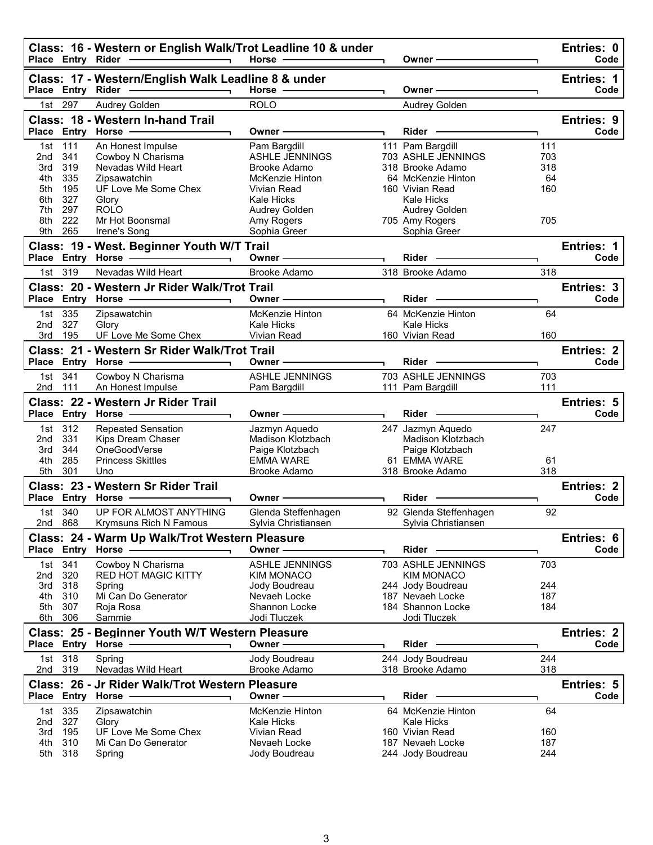|            |                   | Class: 16 - Western or English Walk/Trot Leadline 10 & under<br>Place Entry Rider - The Manuscript<br>$\overline{\phantom{a}}$ | Horse -                            | Owner -                                |            | Entries: 0<br>Code |
|------------|-------------------|--------------------------------------------------------------------------------------------------------------------------------|------------------------------------|----------------------------------------|------------|--------------------|
|            |                   | Class: 17 - Western/English Walk Leadline 8 & under                                                                            |                                    |                                        |            | <b>Entries: 1</b>  |
|            | Place Entry Rider |                                                                                                                                | Horse ·                            | Owner                                  |            | Code               |
| 1st        | 297               | Audrey Golden                                                                                                                  | <b>ROLO</b>                        | Audrey Golden                          |            |                    |
|            |                   | Class: 18 - Western In-hand Trail                                                                                              |                                    |                                        |            | Entries: 9         |
|            |                   | Place Entry Horse                                                                                                              | Owner -                            | Rider -                                |            | Code               |
| 1st        | 111               | An Honest Impulse                                                                                                              | Pam Bargdill                       | 111 Pam Bargdill                       | 111        |                    |
| 2nd        | 341               | Cowboy N Charisma                                                                                                              | ASHLE JENNINGS                     | 703 ASHLE JENNINGS                     | 703        |                    |
| 3rd        | 319               | Nevadas Wild Heart                                                                                                             | <b>Brooke Adamo</b>                | 318 Brooke Adamo                       | 318        |                    |
| 4th<br>5th | 335<br>195        | Zipsawatchin<br>UF Love Me Some Chex                                                                                           | McKenzie Hinton<br>Vivian Read     | 64 McKenzie Hinton<br>160 Vivian Read  | 64<br>160  |                    |
| 6th        | 327               | Glory                                                                                                                          | <b>Kale Hicks</b>                  | Kale Hicks                             |            |                    |
| 7th        | 297               | <b>ROLO</b>                                                                                                                    | Audrey Golden                      | Audrey Golden                          |            |                    |
| 8th        | 222               | Mr Hot Boonsmal                                                                                                                | Amy Rogers                         | 705 Amy Rogers                         | 705        |                    |
| 9th        | 265               | Irene's Song                                                                                                                   | Sophia Greer                       | Sophia Greer                           |            |                    |
|            |                   | Class: 19 - West. Beginner Youth W/T Trail                                                                                     |                                    |                                        |            | Entries: 1         |
|            |                   |                                                                                                                                | Owner -                            | <b>Rider</b>                           |            | Code               |
|            | 1st 319           | Nevadas Wild Heart                                                                                                             | Brooke Adamo                       | 318 Brooke Adamo                       | 318        |                    |
|            |                   | Class: 20 - Western Jr Rider Walk/Trot Trail                                                                                   |                                    |                                        |            | Entries: 3         |
|            |                   | Place Entry Horse -                                                                                                            | Owner-                             | Rider -                                |            | Code               |
| 1st        | 335               | Zipsawatchin                                                                                                                   | McKenzie Hinton                    | 64 McKenzie Hinton                     | 64         |                    |
| 2nd        | 327               | Glory                                                                                                                          | Kale Hicks                         | <b>Kale Hicks</b>                      |            |                    |
| 3rd        | 195               | UF Love Me Some Chex                                                                                                           | Vivian Read                        | 160 Vivian Read                        | 160        |                    |
|            |                   | Class: 21 - Western Sr Rider Walk/Trot Trail                                                                                   |                                    |                                        |            | <b>Entries: 2</b>  |
|            |                   | Place Entry Horse                                                                                                              | Owner-                             | Rider -                                |            | Code               |
| 1st        | 341               | Cowboy N Charisma                                                                                                              | <b>ASHLE JENNINGS</b>              | 703 ASHLE JENNINGS                     | 703        |                    |
| 2nd 111    |                   | An Honest Impulse                                                                                                              | Pam Bargdill                       | 111 Pam Bargdill                       | 111        |                    |
|            |                   | Class: 22 - Western Jr Rider Trail                                                                                             |                                    |                                        |            | Entries: 5         |
|            |                   | Place Entry Horse -                                                                                                            | Owner-                             | Rider -                                |            | Code               |
|            |                   |                                                                                                                                |                                    |                                        |            |                    |
|            | 1st 312           |                                                                                                                                |                                    |                                        | 247        |                    |
| 2nd        | 331               | <b>Repeated Sensation</b><br>Kips Dream Chaser                                                                                 | Jazmyn Aquedo<br>Madison Klotzbach | 247 Jazmyn Aquedo<br>Madison Klotzbach |            |                    |
| 3rd        | 344               | OneGoodVerse                                                                                                                   | Paige Klotzbach                    | Paige Klotzbach                        |            |                    |
| 4th        | 285               | <b>Princess Skittles</b>                                                                                                       | <b>EMMA WARE</b>                   | 61 EMMA WARE                           | 61         |                    |
| 5th        | 301               | Uno                                                                                                                            | Brooke Adamo                       | 318 Brooke Adamo                       | 318        |                    |
|            |                   | Class: 23 - Western Sr Rider Trail                                                                                             |                                    |                                        |            | Entries: 2         |
|            |                   | Place Entry Horse -                                                                                                            | Owner                              | <b>Rider</b>                           |            | Code               |
|            | 1st 340           | UP FOR ALMOST ANYTHING                                                                                                         | Glenda Steffenhagen                | 92 Glenda Steffenhagen                 | 92         |                    |
|            | 2nd 868           | Krymsuns Rich N Famous                                                                                                         | Sylvia Christiansen                | Sylvia Christiansen                    |            |                    |
|            |                   | Class: 24 - Warm Up Walk/Trot Western Pleasure                                                                                 |                                    |                                        |            | Entries: 6         |
|            |                   | Place Entry Horse                                                                                                              | Owner-                             | Rider ·                                |            | Code               |
| 1st        | 341               | Cowboy N Charisma                                                                                                              | <b>ASHLE JENNINGS</b>              | 703 ASHLE JENNINGS                     | 703        |                    |
| 2nd        | 320               | <b>RED HOT MAGIC KITTY</b>                                                                                                     | <b>KIM MONACO</b>                  | <b>KIM MONACO</b>                      |            |                    |
| 3rd        | 318               | Spring                                                                                                                         | Jody Boudreau                      | 244 Jody Boudreau                      | 244        |                    |
| 4th<br>5th | 310<br>307        | Mi Can Do Generator                                                                                                            | Nevaeh Locke<br>Shannon Locke      | 187 Nevaeh Locke<br>184 Shannon Locke  | 187<br>184 |                    |
| 6th        | 306               | Roja Rosa<br>Sammie                                                                                                            | Jodi Tluczek                       | Jodi Tluczek                           |            |                    |
|            |                   |                                                                                                                                |                                    |                                        |            | Entries: 2         |
|            |                   | Class: 25 - Beginner Youth W/T Western Pleasure<br>Place Entry Horse                                                           | Owner -                            | Rider                                  |            | Code               |
|            | 1st 318           | Spring                                                                                                                         | Jody Boudreau                      | 244 Jody Boudreau                      | 244        |                    |
| 2nd 319    |                   | Nevadas Wild Heart                                                                                                             | Brooke Adamo                       | 318 Brooke Adamo                       | 318        |                    |
|            |                   | Class: 26 - Jr Rider Walk/Trot Western Pleasure                                                                                |                                    |                                        |            | Entries: 5         |
|            |                   | Place Entry Horse -                                                                                                            | Owner -                            | Rider                                  |            | Code               |
|            | 1st 335           | Zipsawatchin                                                                                                                   | McKenzie Hinton                    | 64 McKenzie Hinton                     | 64         |                    |
| 2nd        | 327               | Glory                                                                                                                          | <b>Kale Hicks</b>                  | Kale Hicks                             |            |                    |
| 3rd        | 195               | UF Love Me Some Chex                                                                                                           | Vivian Read                        | 160 Vivian Read                        | 160        |                    |
| 4th<br>5th | 310<br>318        | Mi Can Do Generator<br>Spring                                                                                                  | Nevaeh Locke<br>Jody Boudreau      | 187 Nevaeh Locke<br>244 Jody Boudreau  | 187<br>244 |                    |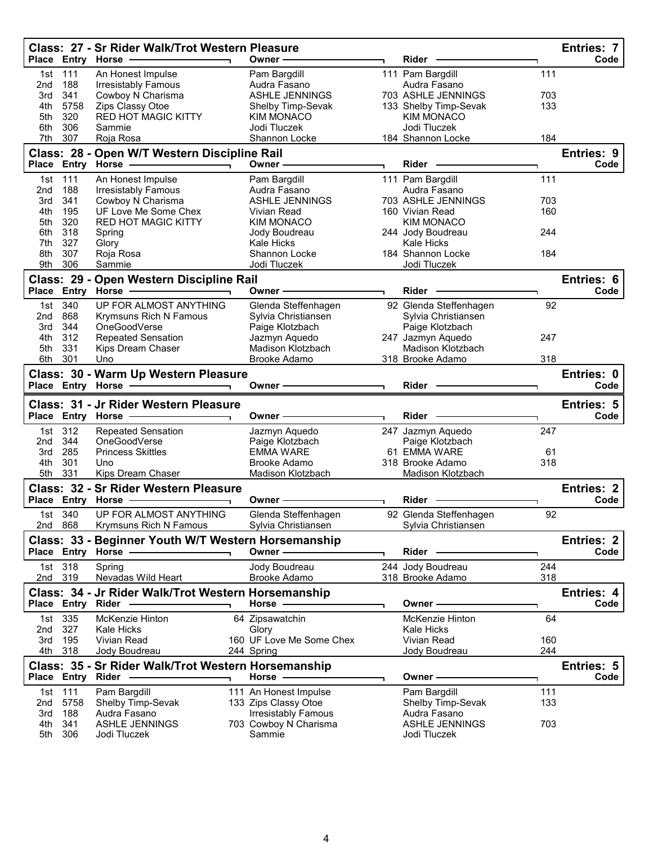|            |                   | Class: 27 - Sr Rider Walk/Trot Western Pleasure<br>Place Entry Horse | Owner -                             | Rider                            |           | <b>Entries: 7</b><br>Code |
|------------|-------------------|----------------------------------------------------------------------|-------------------------------------|----------------------------------|-----------|---------------------------|
|            |                   |                                                                      |                                     |                                  |           |                           |
| 1st<br>2nd | 111<br>188        | An Honest Impulse<br>Irresistably Famous                             | Pam Bargdill<br>Audra Fasano        | 111 Pam Bargdill<br>Audra Fasano | 111       |                           |
| 3rd        | 341               | Cowboy N Charisma                                                    | <b>ASHLE JENNINGS</b>               | 703 ASHLE JENNINGS               | 703       |                           |
| 4th        | 5758              | Zips Classy Otoe                                                     | Shelby Timp-Sevak                   | 133 Shelby Timp-Sevak            | 133       |                           |
| 5th        | 320               | <b>RED HOT MAGIC KITTY</b>                                           | <b>KIM MONACO</b>                   | <b>KIM MONACO</b>                |           |                           |
| 6th        | 306               | Sammie                                                               | Jodi Tluczek                        | Jodi Tluczek                     |           |                           |
| 7th        | 307               | Roja Rosa                                                            | Shannon Locke                       | 184 Shannon Locke                | 184       |                           |
|            |                   | Class: 28 - Open W/T Western Discipline Rail                         |                                     |                                  |           | Entries: 9                |
| Place      |                   | Entry Horse                                                          | Owner -                             | <b>Rider</b>                     |           | Code                      |
| 1st        | 111               | An Honest Impulse                                                    | Pam Bargdill                        | 111 Pam Bargdill                 | 111       |                           |
| 2nd        | 188               | <b>Irresistably Famous</b>                                           | Audra Fasano                        | Audra Fasano                     |           |                           |
| 3rd        | 341               | Cowboy N Charisma                                                    | <b>ASHLE JENNINGS</b>               | 703 ASHLE JENNINGS               | 703       |                           |
| 4th        | 195               | UF Love Me Some Chex                                                 | Vivian Read                         | 160 Vivian Read                  | 160       |                           |
| 5th        | 320               | <b>RED HOT MAGIC KITTY</b>                                           | <b>KIM MONACO</b>                   | <b>KIM MONACO</b>                |           |                           |
| 6th        | 318               | Spring                                                               | Jody Boudreau                       | 244 Jody Boudreau                | 244       |                           |
| 7th        | 327               | Glory                                                                | <b>Kale Hicks</b>                   | <b>Kale Hicks</b>                |           |                           |
| 8th        | 307               | Roja Rosa                                                            | Shannon Locke                       | 184 Shannon Locke                | 184       |                           |
| 9th        | 306               | Sammie                                                               | Jodi Tluczek                        | Jodi Tluczek                     |           |                           |
|            |                   | Class: 29 - Open Western Discipline Rail                             |                                     |                                  |           | Entries: 6                |
|            | Place Entry Horse |                                                                      | Owner -                             | Rider                            |           | Code                      |
| 1st        | 340               | UP FOR ALMOST ANYTHING                                               | Glenda Steffenhagen                 | 92 Glenda Steffenhagen           | 92        |                           |
| 2nd        | 868               | Krymsuns Rich N Famous                                               | Sylvia Christiansen                 | Sylvia Christiansen              |           |                           |
| 3rd        | 344               | OneGoodVerse                                                         | Paige Klotzbach                     | Paige Klotzbach                  |           |                           |
| 4th        | 312               | <b>Repeated Sensation</b>                                            | Jazmyn Aquedo                       | 247 Jazmyn Aquedo                | 247       |                           |
| 5th        | 331               | Kips Dream Chaser                                                    | Madison Klotzbach                   | <b>Madison Klotzbach</b>         |           |                           |
| 6th        | 301               | Uno                                                                  | Brooke Adamo                        | 318 Brooke Adamo                 | 318       |                           |
|            |                   | Class: 30 - Warm Up Western Pleasure                                 |                                     |                                  |           | Entries: 0                |
|            |                   | Place Entry Horse                                                    | Owner-                              | Rider                            |           | Code                      |
|            |                   |                                                                      |                                     |                                  |           |                           |
|            |                   |                                                                      |                                     |                                  |           |                           |
|            |                   | Class: 31 - Jr Rider Western Pleasure<br>Place Entry Horse           | Owner -                             | Rider -                          |           | <b>Entries: 5</b><br>Code |
|            |                   |                                                                      |                                     |                                  |           |                           |
| 1st        | 312               | <b>Repeated Sensation</b>                                            | Jazmyn Aquedo                       | 247 Jazmyn Aquedo                | 247       |                           |
| 2nd        | 344               | OneGoodVerse                                                         | Paige Klotzbach<br><b>EMMA WARE</b> | Paige Klotzbach                  |           |                           |
| 3rd<br>4th | 285<br>301        | <b>Princess Skittles</b><br>Uno                                      | Brooke Adamo                        | 61 EMMA WARE<br>318 Brooke Adamo | 61<br>318 |                           |
| 5th        | 331               | Kips Dream Chaser                                                    | Madison Klotzbach                   | Madison Klotzbach                |           |                           |
|            |                   |                                                                      |                                     |                                  |           |                           |
|            |                   | Class: 32 - Sr Rider Western Pleasure                                | Owner -                             | <b>Rider</b>                     |           | <b>Entries: 2</b><br>Code |
|            |                   | Place Entry Horse -                                                  |                                     |                                  |           |                           |
|            | 1st 340           | UP FOR ALMOST ANYTHING                                               | Glenda Steffenhagen                 | 92 Glenda Steffenhagen           | 92        |                           |
|            | 2nd 868           | Krymsuns Rich N Famous                                               | Sylvia Christiansen                 | Sylvia Christiansen              |           |                           |
|            |                   | Class: 33 - Beginner Youth W/T Western Horsemanship                  |                                     |                                  |           | Entries: 2                |
|            |                   | Place Entry Horse                                                    | Owner-                              | $Rider$ –                        |           | Code                      |
| 1st        | 318               | Spring                                                               | Jody Boudreau                       | 244 Jody Boudreau                | 244       |                           |
|            | 2nd 319           | Nevadas Wild Heart                                                   | Brooke Adamo                        | 318 Brooke Adamo                 | 318       |                           |
|            |                   | Class: 34 - Jr Rider Walk/Trot Western Horsemanship                  |                                     |                                  |           | Entries: 4                |
|            |                   | Place Entry Rider                                                    | Horse $-$                           | Owner -                          |           | Code                      |
| 1st        | 335               | McKenzie Hinton                                                      | 64 Zipsawatchin                     | McKenzie Hinton                  | 64        |                           |
| 2nd        | 327               | Kale Hicks                                                           | Glory                               | <b>Kale Hicks</b>                |           |                           |
| 3rd        | 195               | Vivian Read                                                          | 160 UF Love Me Some Chex            | Vivian Read                      | 160       |                           |
| 4th        | 318               | Jody Boudreau                                                        | 244 Spring                          | Jody Boudreau                    | 244       |                           |
|            |                   | Class: 35 - Sr Rider Walk/Trot Western Horsemanship                  |                                     |                                  |           | Entries: 5                |
|            |                   | Place Entry Rider -                                                  | Horse .                             | Owner-                           |           | Code                      |
| 1st        | 111               | Pam Bargdill                                                         | 111 An Honest Impulse               | Pam Bargdill                     | 111       |                           |
| 2nd        | 5758              | Shelby Timp-Sevak                                                    | 133 Zips Classy Otoe                | Shelby Timp-Sevak                | 133       |                           |
| 3rd        | 188               | Audra Fasano                                                         | <b>Irresistably Famous</b>          | Audra Fasano                     |           |                           |
| 4th<br>5th | 341<br>306        | ASHLE JENNINGS<br>Jodi Tluczek                                       | 703 Cowboy N Charisma<br>Sammie     | ASHLE JENNINGS<br>Jodi Tluczek   | 703       |                           |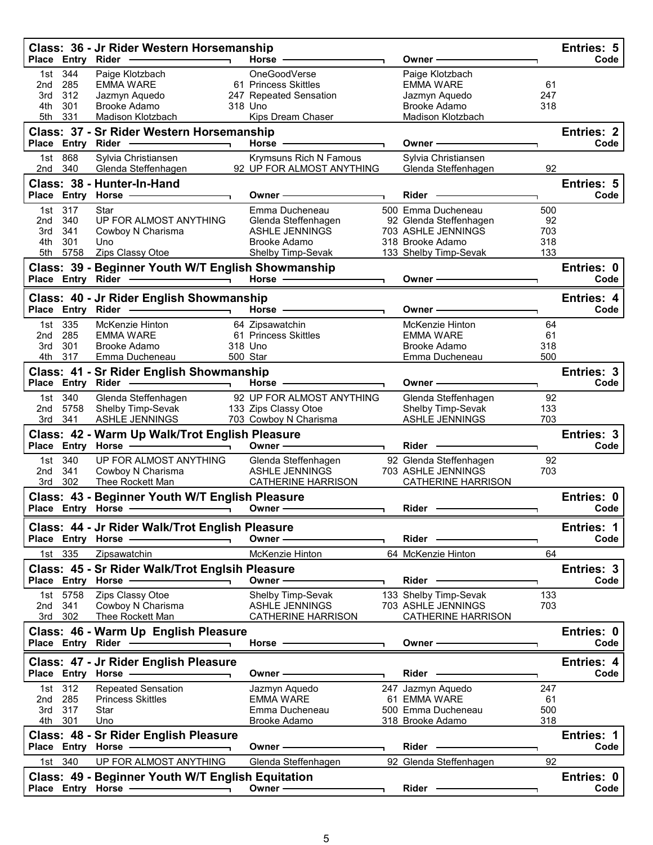|                                 | Place Entry Rider                        | Class: 36 - Jr Rider Western Horsemanship                                                                                                                                                                                                                                                               | Horse -                                                                                                                                                                                                                       | Owner -                                                                                                                                                                                                                              |                                | Entries: 5<br>Code        |
|---------------------------------|------------------------------------------|---------------------------------------------------------------------------------------------------------------------------------------------------------------------------------------------------------------------------------------------------------------------------------------------------------|-------------------------------------------------------------------------------------------------------------------------------------------------------------------------------------------------------------------------------|--------------------------------------------------------------------------------------------------------------------------------------------------------------------------------------------------------------------------------------|--------------------------------|---------------------------|
| 1st<br>2nd<br>3rd<br>4th<br>5th | 344<br>285<br>312<br>301<br>331          | Paige Klotzbach<br><b>EMMA WARE</b><br>Jazmyn Aquedo<br>Brooke Adamo<br>Madison Klotzbach                                                                                                                                                                                                               | OneGoodVerse<br>61 Princess Skittles<br>247 Repeated Sensation<br>318 Uno<br>Kips Dream Chaser                                                                                                                                | Paige Klotzbach<br><b>EMMA WARE</b><br>Jazmyn Aquedo<br><b>Brooke Adamo</b><br>Madison Klotzbach                                                                                                                                     | 61<br>247<br>318               |                           |
|                                 |                                          | Class: 37 - Sr Rider Western Horsemanship<br>Place Entry Rider -                                                                                                                                                                                                                                        | Horse -                                                                                                                                                                                                                       | Owner -                                                                                                                                                                                                                              |                                | <b>Entries: 2</b><br>Code |
| 2nd                             | 1st 868<br>340                           | Sylvia Christiansen<br>Glenda Steffenhagen                                                                                                                                                                                                                                                              | <b>Krymsuns Rich N Famous</b><br>92 UP FOR ALMOST ANYTHING                                                                                                                                                                    | Sylvia Christiansen<br>Glenda Steffenhagen                                                                                                                                                                                           | 92                             |                           |
|                                 |                                          | Class: 38 - Hunter-In-Hand<br>Place Entry Horse -                                                                                                                                                                                                                                                       | Owner -                                                                                                                                                                                                                       | <b>Rider</b>                                                                                                                                                                                                                         |                                | Entries: 5<br>Code        |
| 2nd<br>3rd<br>4th               | 1st 317<br>340<br>341<br>301<br>5th 5758 | Star<br>UP FOR ALMOST ANYTHING<br>Cowboy N Charisma<br>Uno<br>Zips Classy Otoe                                                                                                                                                                                                                          | Emma Ducheneau<br>Glenda Steffenhagen<br><b>ASHLE JENNINGS</b><br><b>Brooke Adamo</b><br>Shelby Timp-Sevak                                                                                                                    | 500 Emma Ducheneau<br>92 Glenda Steffenhagen<br>703 ASHLE JENNINGS<br>318 Brooke Adamo<br>133 Shelby Timp-Sevak                                                                                                                      | 500<br>92<br>703<br>318<br>133 |                           |
|                                 | Place Entry Rider                        | Class: 39 - Beginner Youth W/T English Showmanship                                                                                                                                                                                                                                                      | Horse $-$                                                                                                                                                                                                                     | Owner -                                                                                                                                                                                                                              |                                | Entries: 0<br>Code        |
|                                 |                                          | Class: 40 - Jr Rider English Showmanship<br>Place Entry Rider -<br><u>the contract of the contract of the contract of the contract of the contract of the contract of the contract of the contract of the contract of the contract of the contract of the contract of the contract of the contract </u> | Horse -                                                                                                                                                                                                                       | Owner -                                                                                                                                                                                                                              |                                | <b>Entries: 4</b><br>Code |
| 2nd<br>3rd<br>4th               | 1st 335<br>285<br>301<br>317             | McKenzie Hinton<br><b>EMMA WARE</b><br><b>Brooke Adamo</b><br>Emma Ducheneau                                                                                                                                                                                                                            | 64 Zipsawatchin<br>61 Princess Skittles<br>318 Uno<br>500 Star                                                                                                                                                                | McKenzie Hinton<br><b>EMMA WARE</b><br>Brooke Adamo<br>Emma Ducheneau                                                                                                                                                                | 64<br>61<br>318<br>500         |                           |
|                                 | Place Entry Rider                        | Class: 41 - Sr Rider English Showmanship<br>$\overline{\phantom{a}}$                                                                                                                                                                                                                                    | Horse                                                                                                                                                                                                                         | Owner -                                                                                                                                                                                                                              |                                | Entries: 3<br>Code        |
| 1st<br>2nd<br>3rd               | 340<br>5758<br>341                       | Glenda Steffenhagen<br>Shelby Timp-Sevak<br>ASHLE JENNINGS                                                                                                                                                                                                                                              | 92 UP FOR ALMOST ANYTHING<br>133 Zips Classy Otoe<br>703 Cowboy N Charisma                                                                                                                                                    | Glenda Steffenhagen<br>Shelby Timp-Sevak<br>ASHLE JENNINGS                                                                                                                                                                           | 92<br>133<br>703               |                           |
|                                 |                                          | Class: 42 - Warm Up Walk/Trot English Pleasure<br>Place Entry Horse -                                                                                                                                                                                                                                   | Owner -                                                                                                                                                                                                                       | <b>Rider</b>                                                                                                                                                                                                                         |                                | Entries: 3<br>Code        |
| 2 <sub>nd</sub>                 | 1st 340<br>341<br>3rd 302                | UP FOR ALMOST ANYTHING<br>Cowboy N Charisma<br>Thee Rockett Man                                                                                                                                                                                                                                         | Glenda Steffenhagen<br><b>ASHLE JENNINGS</b><br><b>CATHERINE HARRISON</b>                                                                                                                                                     | 92 Glenda Steffenhagen<br>703 ASHLE JENNINGS<br><b>CATHERINE HARRISON</b>                                                                                                                                                            | 92<br>703                      |                           |
|                                 |                                          | Class: 43 - Beginner Youth W/T English Pleasure                                                                                                                                                                                                                                                         | Owner-                                                                                                                                                                                                                        | <b>Rider</b>                                                                                                                                                                                                                         |                                | Entries: 0<br>Code        |
|                                 |                                          | Class: 44 - Jr Rider Walk/Trot English Pleasure                                                                                                                                                                                                                                                         |                                                                                                                                                                                                                               |                                                                                                                                                                                                                                      |                                | Entries: 1                |
|                                 | 1st 335                                  | Place Entry Horse -<br>Zipsawatchin                                                                                                                                                                                                                                                                     | Owner-<br>McKenzie Hinton                                                                                                                                                                                                     | Rider -<br>64 McKenzie Hinton                                                                                                                                                                                                        | 64                             | Code                      |
|                                 |                                          | Class: 45 - Sr Rider Walk/Trot Englsih Pleasure<br>Place Entry Horse -                                                                                                                                                                                                                                  | Owner —                                                                                                                                                                                                                       | $Rider -$                                                                                                                                                                                                                            |                                | Entries: 3<br>Code        |
| 2nd                             | 1st 5758<br>341                          | Zips Classy Otoe<br>Cowboy N Charisma                                                                                                                                                                                                                                                                   | Shelby Timp-Sevak<br><b>ASHLE JENNINGS</b>                                                                                                                                                                                    | 133 Shelby Timp-Sevak<br>703 ASHLE JENNINGS                                                                                                                                                                                          | 133<br>703                     |                           |
|                                 | 3rd 302                                  | Thee Rockett Man<br>Class: 46 - Warm Up English Pleasure                                                                                                                                                                                                                                                | <b>CATHERINE HARRISON</b>                                                                                                                                                                                                     | <b>CATHERINE HARRISON</b>                                                                                                                                                                                                            |                                | Entries: 0                |
|                                 |                                          | Place Entry Rider - Place<br>Class: 47 - Jr Rider English Pleasure                                                                                                                                                                                                                                      | Horse ———————                                                                                                                                                                                                                 | Owner - The Common Section 2014                                                                                                                                                                                                      |                                | Code<br>Entries: 4        |
|                                 |                                          | Place Entry Horse - The Control of the Control of Theorem and Place School and Theorem                                                                                                                                                                                                                  | Owner —                                                                                                                                                                                                                       | Rider -                                                                                                                                                                                                                              |                                | Code                      |
| 2nd 285<br>3rd                  | 1st 312<br>317<br>4th 301                | <b>Repeated Sensation</b><br><b>Princess Skittles</b><br>Star<br>Uno                                                                                                                                                                                                                                    | Jazmyn Aquedo<br><b>EMMA WARE</b><br>Emma Ducheneau<br>Brooke Adamo                                                                                                                                                           | 247 Jazmyn Aquedo<br>61 EMMA WARE<br>500 Emma Ducheneau<br>318 Brooke Adamo                                                                                                                                                          | 247<br>61<br>500<br>318        |                           |
|                                 |                                          | Class: 48 - Sr Rider English Pleasure<br>Place Entry Horse - The Management of the Management of the Management of the Management of the Management of                                                                                                                                                  | Owner - The Common Common Common Common Common Common Common Common Common Common Common Common Common Common Common Common Common Common Common Common Common Common Common Common Common Common Common Common Common Common | Rider —                                                                                                                                                                                                                              |                                | Entries: 1<br>Code        |
|                                 | 1st 340                                  | UP FOR ALMOST ANYTHING                                                                                                                                                                                                                                                                                  | Glenda Steffenhagen                                                                                                                                                                                                           | 92 Glenda Steffenhagen                                                                                                                                                                                                               | 92                             |                           |
|                                 |                                          | Class: 49 - Beginner Youth W/T English Equitation<br>Place Entry Horse - and the place of the state of the state of the state of the state of the state of the state of the state of the state of the state of the state of the state of the state of the state of the state of the                     | Owner $\longrightarrow$                                                                                                                                                                                                       | Rider <b>Contract Contract Contract Contract Contract Contract Contract Contract Contract Contract Contract Contract Contract Contract Contract Contract Contract Contract Contract Contract Contract Contract Contract Contract</b> |                                | Entries: 0<br>Code        |